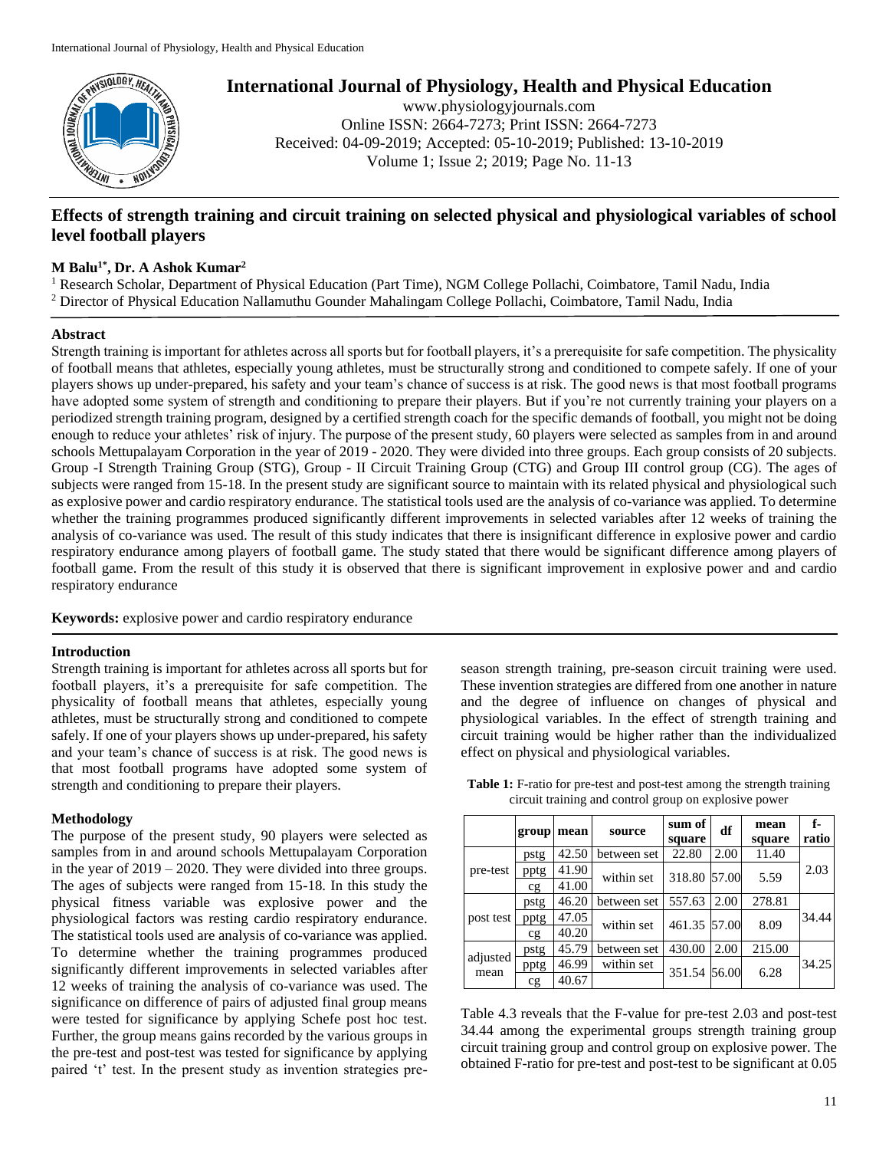

**International Journal of Physiology, Health and Physical Education**

www.physiologyjournals.com Online ISSN: 2664-7273; Print ISSN: 2664-7273 Received: 04-09-2019; Accepted: 05-10-2019; Published: 13-10-2019 Volume 1; Issue 2; 2019; Page No. 11-13

# **Effects of strength training and circuit training on selected physical and physiological variables of school level football players**

## **M Balu1\* , Dr. A Ashok Kumar<sup>2</sup>**

<sup>1</sup> Research Scholar, Department of Physical Education (Part Time), NGM College Pollachi, Coimbatore, Tamil Nadu, India <sup>2</sup> Director of Physical Education Nallamuthu Gounder Mahalingam College Pollachi, Coimbatore, Tamil Nadu, India

### **Abstract**

Strength training is important for athletes across all sports but for football players, it's a prerequisite for safe competition. The physicality of football means that athletes, especially young athletes, must be structurally strong and conditioned to compete safely. If one of your players shows up under-prepared, his safety and your team's chance of success is at risk. The good news is that most football programs have adopted some system of strength and conditioning to prepare their players. But if you're not currently training your players on a periodized strength training program, designed by a certified strength coach for the specific demands of football, you might not be doing enough to reduce your athletes' risk of injury. The purpose of the present study, 60 players were selected as samples from in and around schools Mettupalayam Corporation in the year of 2019 - 2020. They were divided into three groups. Each group consists of 20 subjects. Group -I Strength Training Group (STG), Group - II Circuit Training Group (CTG) and Group III control group (CG). The ages of subjects were ranged from 15-18. In the present study are significant source to maintain with its related physical and physiological such as explosive power and cardio respiratory endurance. The statistical tools used are the analysis of co-variance was applied. To determine whether the training programmes produced significantly different improvements in selected variables after 12 weeks of training the analysis of co-variance was used. The result of this study indicates that there is insignificant difference in explosive power and cardio respiratory endurance among players of football game. The study stated that there would be significant difference among players of football game. From the result of this study it is observed that there is significant improvement in explosive power and and cardio respiratory endurance

**Keywords:** explosive power and cardio respiratory endurance

#### **Introduction**

Strength training is important for athletes across all sports but for football players, it's a prerequisite for safe competition. The physicality of football means that athletes, especially young athletes, must be structurally strong and conditioned to compete safely. If one of your players shows up under-prepared, his safety and your team's chance of success is at risk. The good news is that most football programs have adopted some system of strength and conditioning to prepare their players.

#### **Methodology**

The purpose of the present study, 90 players were selected as samples from in and around schools Mettupalayam Corporation in the year of 2019 – 2020. They were divided into three groups. The ages of subjects were ranged from 15-18. In this study the physical fitness variable was explosive power and the physiological factors was resting cardio respiratory endurance. The statistical tools used are analysis of co-variance was applied. To determine whether the training programmes produced significantly different improvements in selected variables after 12 weeks of training the analysis of co-variance was used. The significance on difference of pairs of adjusted final group means were tested for significance by applying Schefe post hoc test. Further, the group means gains recorded by the various groups in the pre-test and post-test was tested for significance by applying paired 't' test. In the present study as invention strategies pre-

season strength training, pre-season circuit training were used. These invention strategies are differed from one another in nature and the degree of influence on changes of physical and physiological variables. In the effect of strength training and circuit training would be higher rather than the individualized effect on physical and physiological variables.

|                  | group | mean  | source      | sum of<br>square | df    | mean<br>square | f.<br>ratio |  |
|------------------|-------|-------|-------------|------------------|-------|----------------|-------------|--|
| pre-test         | pstg  | 42.50 | between set | 22.80            | 2.00  | 11.40          |             |  |
|                  | pptg  | 41.90 | within set  | 318.80           | 57.00 | 5.59           | 2.03        |  |
|                  | cg    | 41.00 |             |                  |       |                |             |  |
| post test        | pstg  | 46.20 | between set | 557.63           | 2.00  | 278.81         |             |  |
|                  | pptg  | 47.05 | within set  | 461.35 57.00     |       | 8.09           | 34.44       |  |
|                  | cg    | 40.20 |             |                  |       |                |             |  |
| adjusted<br>mean | pstg  | 45.79 | between set | 430.00           | 2.00  | 215.00         |             |  |
|                  | pptg  | 46.99 | within set  | 351.54 56.00     |       | 6.28           | 34.25       |  |
|                  | cg    | 40.67 |             |                  |       |                |             |  |

**Table 1:** F-ratio for pre-test and post-test among the strength training circuit training and control group on explosive power

Table 4.3 reveals that the F-value for pre-test 2.03 and post-test 34.44 among the experimental groups strength training group circuit training group and control group on explosive power. The obtained F-ratio for pre-test and post-test to be significant at 0.05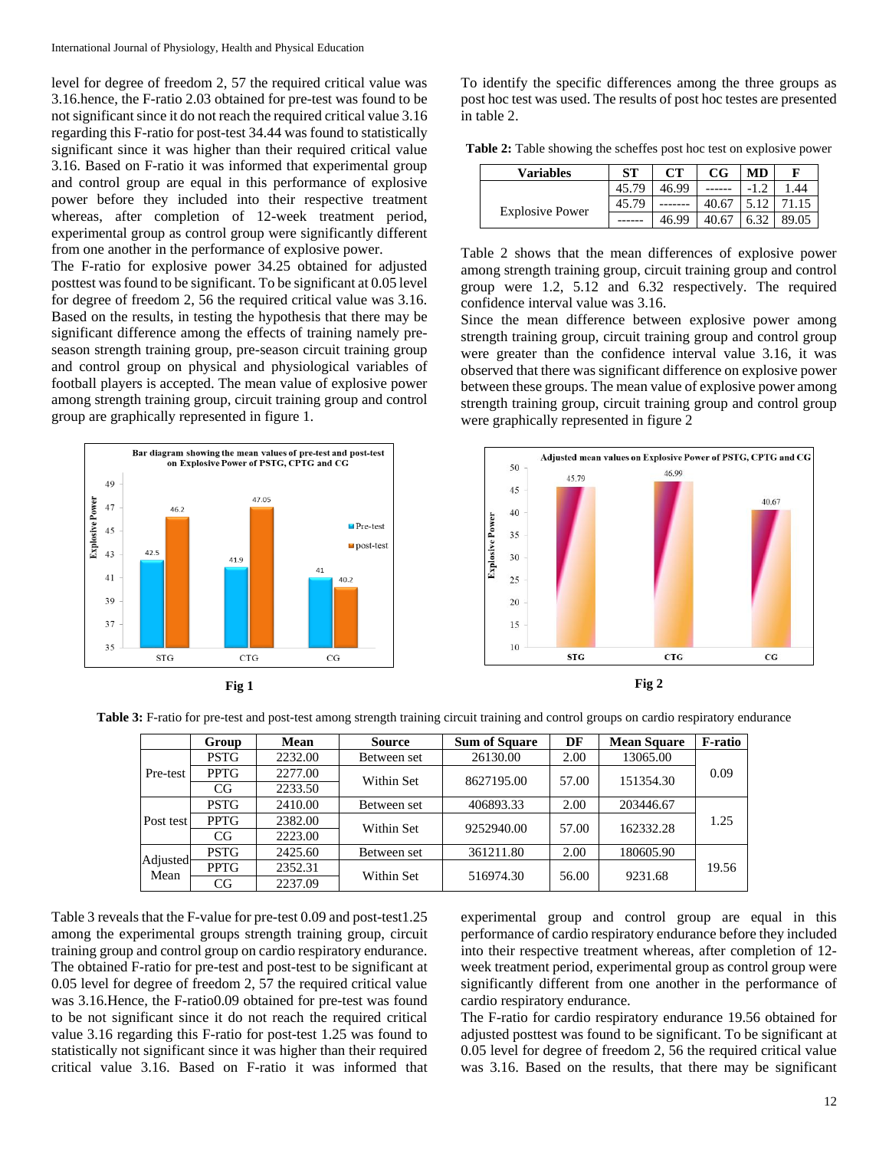level for degree of freedom 2, 57 the required critical value was 3.16.hence, the F-ratio 2.03 obtained for pre-test was found to be not significant since it do not reach the required critical value 3.16 regarding this F-ratio for post-test 34.44 was found to statistically significant since it was higher than their required critical value 3.16. Based on F-ratio it was informed that experimental group and control group are equal in this performance of explosive power before they included into their respective treatment whereas, after completion of 12-week treatment period, experimental group as control group were significantly different from one another in the performance of explosive power.

The F-ratio for explosive power 34.25 obtained for adjusted posttest was found to be significant. To be significant at 0.05 level for degree of freedom 2, 56 the required critical value was 3.16. Based on the results, in testing the hypothesis that there may be significant difference among the effects of training namely preseason strength training group, pre-season circuit training group and control group on physical and physiological variables of football players is accepted. The mean value of explosive power among strength training group, circuit training group and control group are graphically represented in figure 1.





To identify the specific differences among the three groups as post hoc test was used. The results of post hoc testes are presented in table 2.

**Table 2:** Table showing the scheffes post hoc test on explosive power

| <b>Variables</b>       | <b>ST</b> | <b>CT</b> | $_{\rm CG}$ | MD | F   |
|------------------------|-----------|-----------|-------------|----|-----|
|                        | 45.79     | 46.99     |             |    | .44 |
|                        | 45.79     |           |             |    |     |
| <b>Explosive Power</b> |           | 46 99     |             |    |     |

Table 2 shows that the mean differences of explosive power among strength training group, circuit training group and control group were 1.2, 5.12 and 6.32 respectively. The required confidence interval value was 3.16.

Since the mean difference between explosive power among strength training group, circuit training group and control group were greater than the confidence interval value 3.16, it was observed that there was significant difference on explosive power between these groups. The mean value of explosive power among strength training group, circuit training group and control group were graphically represented in figure 2





**Table 3:** F-ratio for pre-test and post-test among strength training circuit training and control groups on cardio respiratory endurance

|                  | Group       | <b>Mean</b> | <b>Source</b> | <b>Sum of Square</b> | DF    | <b>Mean Square</b> | <b>F-ratio</b> |  |
|------------------|-------------|-------------|---------------|----------------------|-------|--------------------|----------------|--|
| Pre-test         | <b>PSTG</b> | 2232.00     | Between set   | 26130.00             | 2.00  | 13065.00           |                |  |
|                  | <b>PPTG</b> | 2277.00     | Within Set    | 8627195.00           | 57.00 | 151354.30          | 0.09           |  |
|                  | CG          | 2233.50     |               |                      |       |                    |                |  |
| Post test        | <b>PSTG</b> | 2410.00     | Between set   | 406893.33            | 2.00  | 203446.67          | 1.25           |  |
|                  | <b>PPTG</b> | 2382.00     | Within Set    | 9252940.00           | 57.00 | 162332.28          |                |  |
|                  | CG          | 2223.00     |               |                      |       |                    |                |  |
| Adjusted<br>Mean | <b>PSTG</b> | 2425.60     | Between set   | 361211.80            | 2.00  | 180605.90          |                |  |
|                  | <b>PPTG</b> | 2352.31     | Within Set    | 516974.30            | 56.00 | 9231.68            | 19.56          |  |
|                  | CG          | 2237.09     |               |                      |       |                    |                |  |

Table 3 reveals that the F-value for pre-test 0.09 and post-test1.25 among the experimental groups strength training group, circuit training group and control group on cardio respiratory endurance. The obtained F-ratio for pre-test and post-test to be significant at 0.05 level for degree of freedom 2, 57 the required critical value was 3.16.Hence, the F-ratio0.09 obtained for pre-test was found to be not significant since it do not reach the required critical value 3.16 regarding this F-ratio for post-test 1.25 was found to statistically not significant since it was higher than their required critical value 3.16. Based on F-ratio it was informed that

experimental group and control group are equal in this performance of cardio respiratory endurance before they included into their respective treatment whereas, after completion of 12 week treatment period, experimental group as control group were significantly different from one another in the performance of cardio respiratory endurance.

The F-ratio for cardio respiratory endurance 19.56 obtained for adjusted posttest was found to be significant. To be significant at 0.05 level for degree of freedom 2, 56 the required critical value was 3.16. Based on the results, that there may be significant